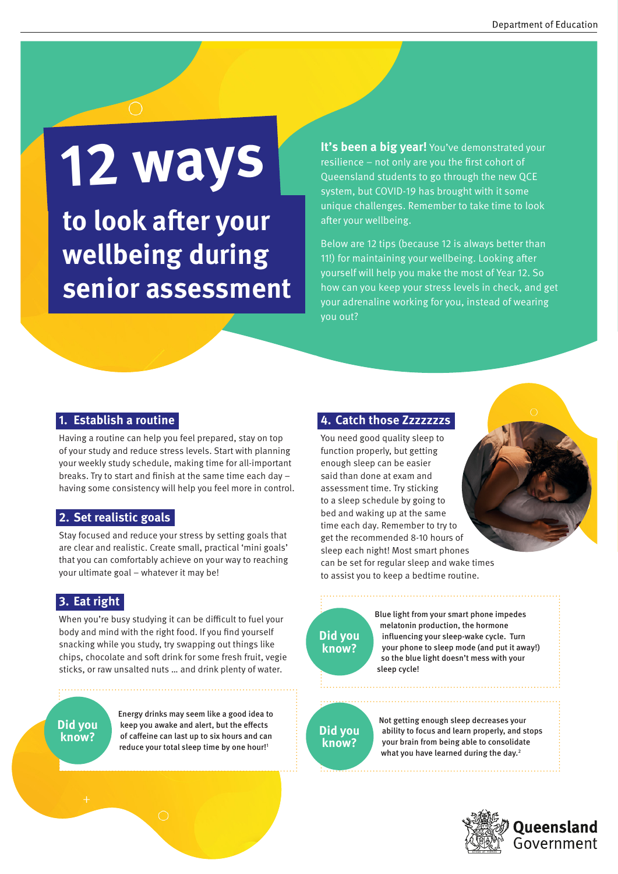# **12 ways**

**to look after your wellbeing during senior assessment** **It's been a big year!** You've demonstrated your resilience – not only are you the first cohort of Queensland students to go through the new QCE system, but COVID-19 has brought with it some unique challenges. Remember to take time to look after your wellbeing.

Below are 12 tips (because 12 is always better than 11!) for maintaining your wellbeing. Looking after yourself will help you make the most of Year 12. So how can you keep your stress levels in check, and get your adrenaline working for you, instead of wearing you out?

#### **1. Establish a routine**

Having a routine can help you feel prepared, stay on top of your study and reduce stress levels. Start with planning your weekly study schedule, making time for all-important breaks. Try to start and finish at the same time each day – having some consistency will help you feel more in control.

#### **2. Set realistic goals**

Stay focused and reduce your stress by setting goals that are clear and realistic. Create small, practical 'mini goals' that you can comfortably achieve on your way to reaching your ultimate goal – whatever it may be!

#### **3. Eat right**

When you're busy studying it can be difficult to fuel your body and mind with the right food. If you find yourself snacking while you study, try swapping out things like chips, chocolate and soft drink for some fresh fruit, vegie sticks, or raw unsalted nuts … and drink plenty of water.

**Did you know?**

Energy drinks may seem like a good idea to keep you awake and alert, but the effects of caffeine can last up to six hours and can reduce your total sleep time by one hour!<sup>1</sup>

#### **4. Catch those Zzzzzzzs**

You need good quality sleep to function properly, but getting enough sleep can be easier said than done at exam and assessment time. Try sticking to a sleep schedule by going to bed and waking up at the same time each day. Remember to try to get the recommended 8-10 hours of sleep each night! Most smart phones can be set for regular sleep and wake times to assist you to keep a bedtime routine.



Blue light from your smart phone impedes melatonin production, the hormone influencing your sleep-wake cycle. Turn your phone to sleep mode (and put it away!) so the blue light doesn't mess with your sleep cycle!

## **Did you know?**

Not getting enough sleep decreases your ability to focus and learn properly, and stops your brain from being able to consolidate what you have learned during the day.<sup>2</sup>